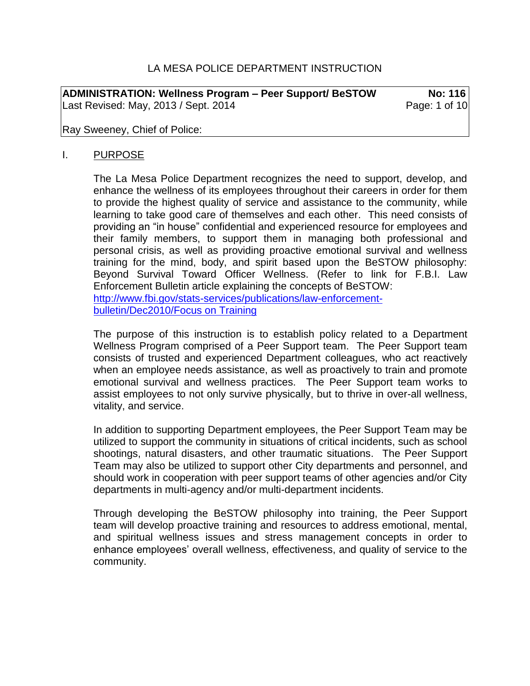# LA MESA POLICE DEPARTMENT INSTRUCTION

**ADMINISTRATION: Wellness Program – Peer Support/ BeSTOW No: 116** Last Revised: May, 2013 / Sept. 2014 **Page: 1 of 10** 

Ray Sweeney, Chief of Police:

#### I. PURPOSE

The La Mesa Police Department recognizes the need to support, develop, and enhance the wellness of its employees throughout their careers in order for them to provide the highest quality of service and assistance to the community, while learning to take good care of themselves and each other. This need consists of providing an "in house" confidential and experienced resource for employees and their family members, to support them in managing both professional and personal crisis, as well as providing proactive emotional survival and wellness training for the mind, body, and spirit based upon the BeSTOW philosophy: Beyond Survival Toward Officer Wellness. (Refer to link for F.B.I. Law Enforcement Bulletin article explaining the concepts of BeSTOW: [http://www.fbi.gov/stats-services/publications/law-enforcement](http://www.fbi.gov/stats-services/publications/law-enforcement-bulletin/Dec2010/Focus%20on%20Training)[bulletin/Dec2010/Focus on Training](http://www.fbi.gov/stats-services/publications/law-enforcement-bulletin/Dec2010/Focus%20on%20Training)

The purpose of this instruction is to establish policy related to a Department Wellness Program comprised of a Peer Support team. The Peer Support team consists of trusted and experienced Department colleagues, who act reactively when an employee needs assistance, as well as proactively to train and promote emotional survival and wellness practices. The Peer Support team works to assist employees to not only survive physically, but to thrive in over-all wellness, vitality, and service.

In addition to supporting Department employees, the Peer Support Team may be utilized to support the community in situations of critical incidents, such as school shootings, natural disasters, and other traumatic situations. The Peer Support Team may also be utilized to support other City departments and personnel, and should work in cooperation with peer support teams of other agencies and/or City departments in multi-agency and/or multi-department incidents.

Through developing the BeSTOW philosophy into training, the Peer Support team will develop proactive training and resources to address emotional, mental, and spiritual wellness issues and stress management concepts in order to enhance employees' overall wellness, effectiveness, and quality of service to the community.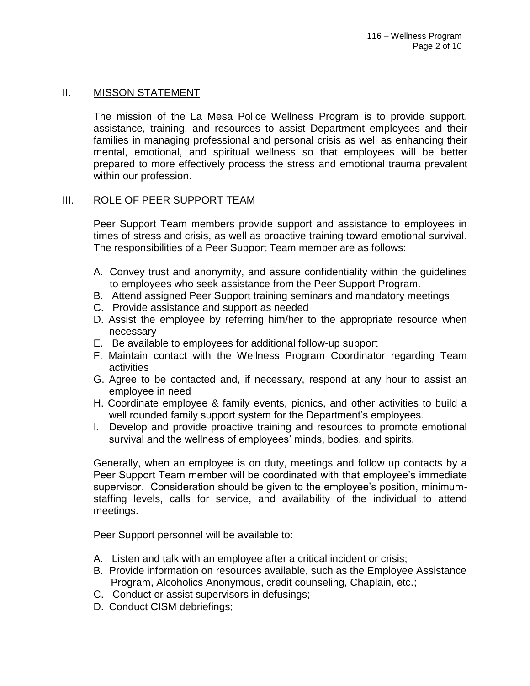## II. MISSON STATEMENT

The mission of the La Mesa Police Wellness Program is to provide support, assistance, training, and resources to assist Department employees and their families in managing professional and personal crisis as well as enhancing their mental, emotional, and spiritual wellness so that employees will be better prepared to more effectively process the stress and emotional trauma prevalent within our profession.

## III. ROLE OF PEER SUPPORT TEAM

Peer Support Team members provide support and assistance to employees in times of stress and crisis, as well as proactive training toward emotional survival. The responsibilities of a Peer Support Team member are as follows:

- A. Convey trust and anonymity, and assure confidentiality within the guidelines to employees who seek assistance from the Peer Support Program.
- B. Attend assigned Peer Support training seminars and mandatory meetings
- C. Provide assistance and support as needed
- D. Assist the employee by referring him/her to the appropriate resource when necessary
- E. Be available to employees for additional follow-up support
- F. Maintain contact with the Wellness Program Coordinator regarding Team activities
- G. Agree to be contacted and, if necessary, respond at any hour to assist an employee in need
- H. Coordinate employee & family events, picnics, and other activities to build a well rounded family support system for the Department's employees.
- I. Develop and provide proactive training and resources to promote emotional survival and the wellness of employees' minds, bodies, and spirits.

Generally, when an employee is on duty, meetings and follow up contacts by a Peer Support Team member will be coordinated with that employee's immediate supervisor. Consideration should be given to the employee's position, minimumstaffing levels, calls for service, and availability of the individual to attend meetings.

Peer Support personnel will be available to:

- A. Listen and talk with an employee after a critical incident or crisis;
- B. Provide information on resources available, such as the Employee Assistance Program, Alcoholics Anonymous, credit counseling, Chaplain, etc.;
- C. Conduct or assist supervisors in defusings;
- D. Conduct CISM debriefings;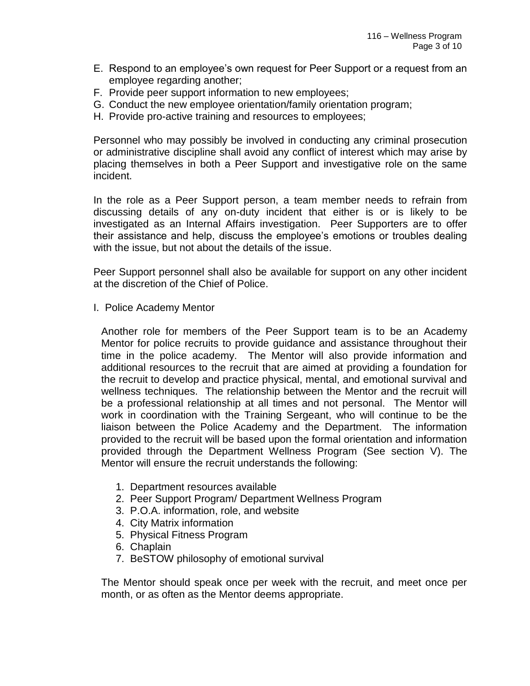- E. Respond to an employee's own request for Peer Support or a request from an employee regarding another;
- F. Provide peer support information to new employees;
- G. Conduct the new employee orientation/family orientation program;
- H. Provide pro-active training and resources to employees;

Personnel who may possibly be involved in conducting any criminal prosecution or administrative discipline shall avoid any conflict of interest which may arise by placing themselves in both a Peer Support and investigative role on the same incident.

In the role as a Peer Support person, a team member needs to refrain from discussing details of any on-duty incident that either is or is likely to be investigated as an Internal Affairs investigation. Peer Supporters are to offer their assistance and help, discuss the employee's emotions or troubles dealing with the issue, but not about the details of the issue.

Peer Support personnel shall also be available for support on any other incident at the discretion of the Chief of Police.

I. Police Academy Mentor

Another role for members of the Peer Support team is to be an Academy Mentor for police recruits to provide guidance and assistance throughout their time in the police academy. The Mentor will also provide information and additional resources to the recruit that are aimed at providing a foundation for the recruit to develop and practice physical, mental, and emotional survival and wellness techniques. The relationship between the Mentor and the recruit will be a professional relationship at all times and not personal. The Mentor will work in coordination with the Training Sergeant, who will continue to be the liaison between the Police Academy and the Department. The information provided to the recruit will be based upon the formal orientation and information provided through the Department Wellness Program (See section V). The Mentor will ensure the recruit understands the following:

- 1. Department resources available
- 2. Peer Support Program/ Department Wellness Program
- 3. P.O.A. information, role, and website
- 4. City Matrix information
- 5. Physical Fitness Program
- 6. Chaplain
- 7. BeSTOW philosophy of emotional survival

The Mentor should speak once per week with the recruit, and meet once per month, or as often as the Mentor deems appropriate.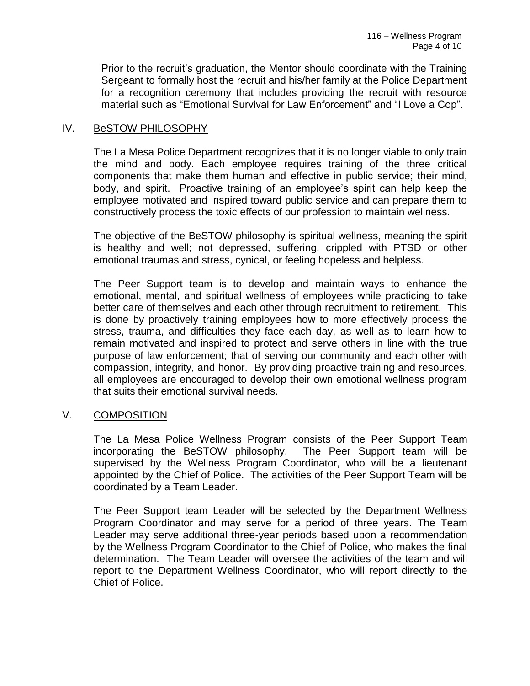Prior to the recruit's graduation, the Mentor should coordinate with the Training Sergeant to formally host the recruit and his/her family at the Police Department for a recognition ceremony that includes providing the recruit with resource material such as "Emotional Survival for Law Enforcement" and "I Love a Cop".

## IV. BeSTOW PHILOSOPHY

The La Mesa Police Department recognizes that it is no longer viable to only train the mind and body. Each employee requires training of the three critical components that make them human and effective in public service; their mind, body, and spirit. Proactive training of an employee's spirit can help keep the employee motivated and inspired toward public service and can prepare them to constructively process the toxic effects of our profession to maintain wellness.

The objective of the BeSTOW philosophy is spiritual wellness, meaning the spirit is healthy and well; not depressed, suffering, crippled with PTSD or other emotional traumas and stress, cynical, or feeling hopeless and helpless.

The Peer Support team is to develop and maintain ways to enhance the emotional, mental, and spiritual wellness of employees while practicing to take better care of themselves and each other through recruitment to retirement. This is done by proactively training employees how to more effectively process the stress, trauma, and difficulties they face each day, as well as to learn how to remain motivated and inspired to protect and serve others in line with the true purpose of law enforcement; that of serving our community and each other with compassion, integrity, and honor. By providing proactive training and resources, all employees are encouraged to develop their own emotional wellness program that suits their emotional survival needs.

#### V. COMPOSITION

The La Mesa Police Wellness Program consists of the Peer Support Team incorporating the BeSTOW philosophy. The Peer Support team will be supervised by the Wellness Program Coordinator, who will be a lieutenant appointed by the Chief of Police. The activities of the Peer Support Team will be coordinated by a Team Leader.

The Peer Support team Leader will be selected by the Department Wellness Program Coordinator and may serve for a period of three years. The Team Leader may serve additional three-year periods based upon a recommendation by the Wellness Program Coordinator to the Chief of Police, who makes the final determination. The Team Leader will oversee the activities of the team and will report to the Department Wellness Coordinator, who will report directly to the Chief of Police.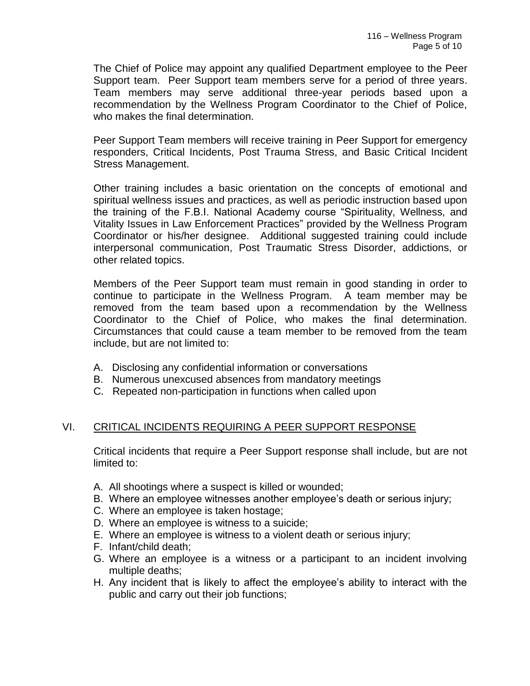The Chief of Police may appoint any qualified Department employee to the Peer Support team. Peer Support team members serve for a period of three years. Team members may serve additional three-year periods based upon a recommendation by the Wellness Program Coordinator to the Chief of Police, who makes the final determination.

Peer Support Team members will receive training in Peer Support for emergency responders, Critical Incidents, Post Trauma Stress, and Basic Critical Incident Stress Management.

Other training includes a basic orientation on the concepts of emotional and spiritual wellness issues and practices, as well as periodic instruction based upon the training of the F.B.I. National Academy course "Spirituality, Wellness, and Vitality Issues in Law Enforcement Practices" provided by the Wellness Program Coordinator or his/her designee. Additional suggested training could include interpersonal communication, Post Traumatic Stress Disorder, addictions, or other related topics.

Members of the Peer Support team must remain in good standing in order to continue to participate in the Wellness Program. A team member may be removed from the team based upon a recommendation by the Wellness Coordinator to the Chief of Police, who makes the final determination. Circumstances that could cause a team member to be removed from the team include, but are not limited to:

- A. Disclosing any confidential information or conversations
- B. Numerous unexcused absences from mandatory meetings
- C. Repeated non-participation in functions when called upon

# VI. CRITICAL INCIDENTS REQUIRING A PEER SUPPORT RESPONSE

Critical incidents that require a Peer Support response shall include, but are not limited to:

- A. All shootings where a suspect is killed or wounded;
- B. Where an employee witnesses another employee's death or serious injury;
- C. Where an employee is taken hostage;
- D. Where an employee is witness to a suicide;
- E. Where an employee is witness to a violent death or serious injury;
- F. Infant/child death;
- G. Where an employee is a witness or a participant to an incident involving multiple deaths;
- H. Any incident that is likely to affect the employee's ability to interact with the public and carry out their job functions;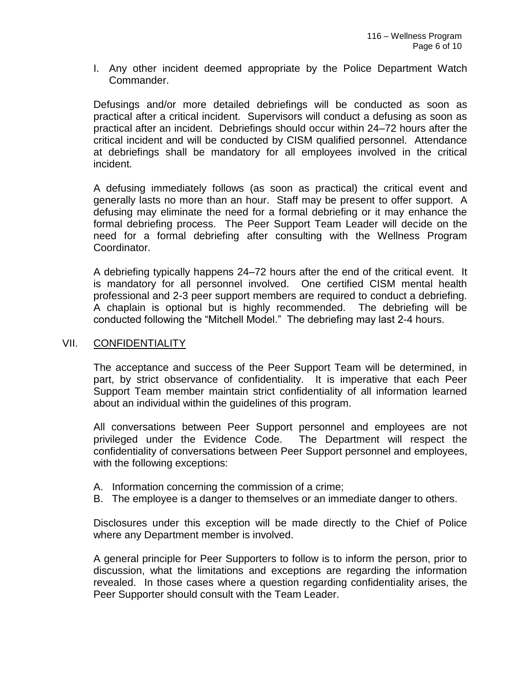I. Any other incident deemed appropriate by the Police Department Watch Commander.

Defusings and/or more detailed debriefings will be conducted as soon as practical after a critical incident. Supervisors will conduct a defusing as soon as practical after an incident. Debriefings should occur within 24–72 hours after the critical incident and will be conducted by CISM qualified personnel. Attendance at debriefings shall be mandatory for all employees involved in the critical incident.

A defusing immediately follows (as soon as practical) the critical event and generally lasts no more than an hour. Staff may be present to offer support. A defusing may eliminate the need for a formal debriefing or it may enhance the formal debriefing process. The Peer Support Team Leader will decide on the need for a formal debriefing after consulting with the Wellness Program Coordinator.

A debriefing typically happens 24–72 hours after the end of the critical event. It is mandatory for all personnel involved. One certified CISM mental health professional and 2-3 peer support members are required to conduct a debriefing. A chaplain is optional but is highly recommended. The debriefing will be conducted following the "Mitchell Model." The debriefing may last 2-4 hours.

#### VII. CONFIDENTIALITY

The acceptance and success of the Peer Support Team will be determined, in part, by strict observance of confidentiality. It is imperative that each Peer Support Team member maintain strict confidentiality of all information learned about an individual within the guidelines of this program.

All conversations between Peer Support personnel and employees are not privileged under the Evidence Code. The Department will respect the confidentiality of conversations between Peer Support personnel and employees, with the following exceptions:

- A. Information concerning the commission of a crime;
- B. The employee is a danger to themselves or an immediate danger to others.

Disclosures under this exception will be made directly to the Chief of Police where any Department member is involved.

A general principle for Peer Supporters to follow is to inform the person, prior to discussion, what the limitations and exceptions are regarding the information revealed. In those cases where a question regarding confidentiality arises, the Peer Supporter should consult with the Team Leader.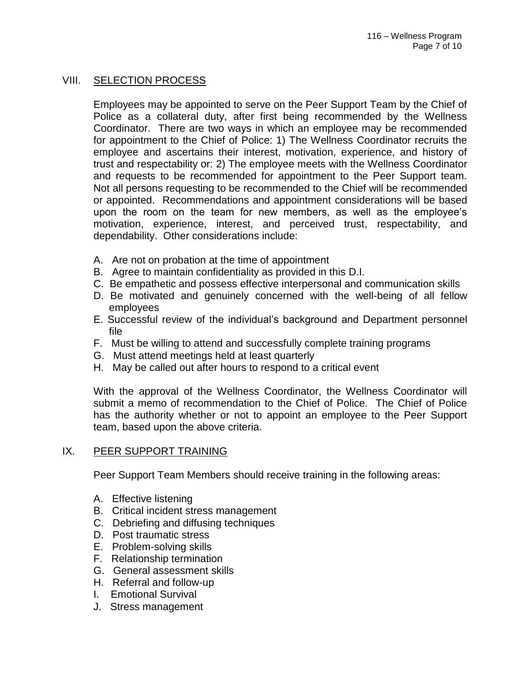# VIII. SELECTION PROCESS

Employees may be appointed to serve on the Peer Support Team by the Chief of Police as a collateral duty, after first being recommended by the Wellness Coordinator. There are two ways in which an employee may be recommended for appointment to the Chief of Police: 1) The Wellness Coordinator recruits the employee and ascertains their interest, motivation, experience, and history of trust and respectability or: 2) The employee meets with the Wellness Coordinator and requests to be recommended for appointment to the Peer Support team. Not all persons requesting to be recommended to the Chief will be recommended or appointed. Recommendations and appointment considerations will be based upon the room on the team for new members, as well as the employee's motivation, experience, interest, and perceived trust, respectability, and dependability. Other considerations include:

- A. Are not on probation at the time of appointment
- B. Agree to maintain confidentiality as provided in this D.I.
- C. Be empathetic and possess effective interpersonal and communication skills
- D. Be motivated and genuinely concerned with the well-being of all fellow employees
- E. Successful review of the individual's background and Department personnel file
- F. Must be willing to attend and successfully complete training programs
- G. Must attend meetings held at least quarterly
- H. May be called out after hours to respond to a critical event

With the approval of the Wellness Coordinator, the Wellness Coordinator will submit a memo of recommendation to the Chief of Police. The Chief of Police has the authority whether or not to appoint an employee to the Peer Support team, based upon the above criteria.

#### IX. PEER SUPPORT TRAINING

Peer Support Team Members should receive training in the following areas:

- A. Effective listening
- B. Critical incident stress management
- C. Debriefing and diffusing techniques
- D. Post traumatic stress
- E. Problem-solving skills
- F. Relationship termination
- G. General assessment skills
- H. Referral and follow-up
- I. Emotional Survival
- J. Stress management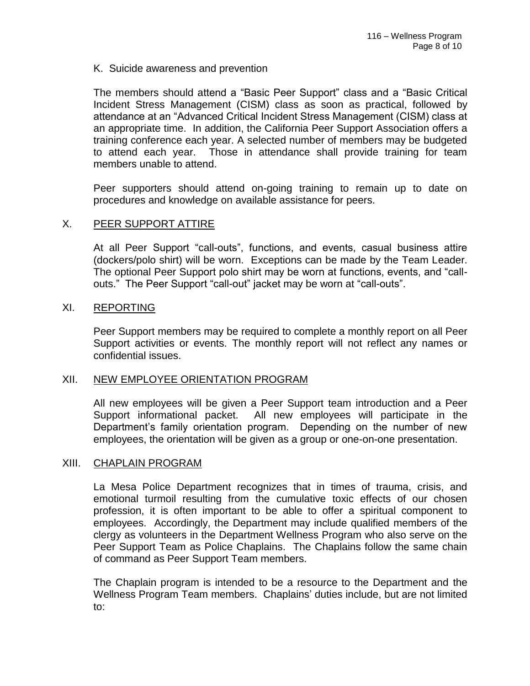K. Suicide awareness and prevention

The members should attend a "Basic Peer Support" class and a "Basic Critical Incident Stress Management (CISM) class as soon as practical, followed by attendance at an "Advanced Critical Incident Stress Management (CISM) class at an appropriate time. In addition, the California Peer Support Association offers a training conference each year. A selected number of members may be budgeted to attend each year. Those in attendance shall provide training for team members unable to attend.

Peer supporters should attend on-going training to remain up to date on procedures and knowledge on available assistance for peers.

## X. PEER SUPPORT ATTIRE

At all Peer Support "call-outs", functions, and events, casual business attire (dockers/polo shirt) will be worn. Exceptions can be made by the Team Leader. The optional Peer Support polo shirt may be worn at functions, events, and "callouts." The Peer Support "call-out" jacket may be worn at "call-outs".

#### XI. REPORTING

Peer Support members may be required to complete a monthly report on all Peer Support activities or events. The monthly report will not reflect any names or confidential issues.

#### XII. NEW EMPLOYEE ORIENTATION PROGRAM

All new employees will be given a Peer Support team introduction and a Peer Support informational packet. All new employees will participate in the Department's family orientation program. Depending on the number of new employees, the orientation will be given as a group or one-on-one presentation.

#### XIII. CHAPLAIN PROGRAM

La Mesa Police Department recognizes that in times of trauma, crisis, and emotional turmoil resulting from the cumulative toxic effects of our chosen profession, it is often important to be able to offer a spiritual component to employees. Accordingly, the Department may include qualified members of the clergy as volunteers in the Department Wellness Program who also serve on the Peer Support Team as Police Chaplains. The Chaplains follow the same chain of command as Peer Support Team members.

The Chaplain program is intended to be a resource to the Department and the Wellness Program Team members. Chaplains' duties include, but are not limited to: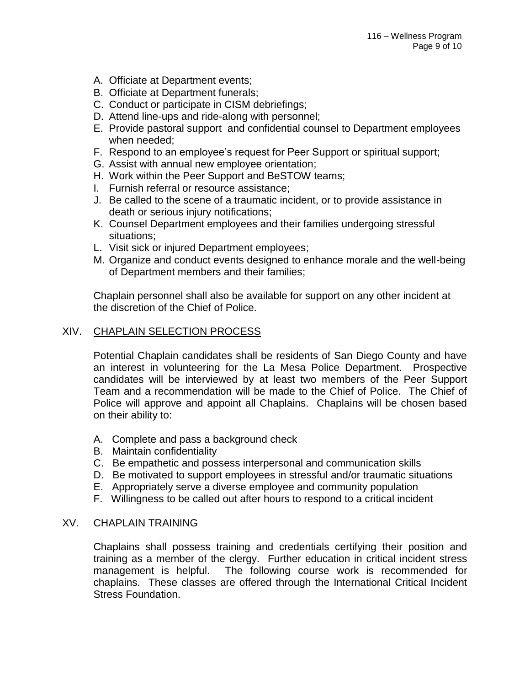- A. Officiate at Department events;
- B. Officiate at Department funerals;
- C. Conduct or participate in CISM debriefings;
- D. Attend line-ups and ride-along with personnel;
- E. Provide pastoral support and confidential counsel to Department employees when needed;
- F. Respond to an employee's request for Peer Support or spiritual support;
- G. Assist with annual new employee orientation;
- H. Work within the Peer Support and BeSTOW teams;
- I. Furnish referral or resource assistance;
- J. Be called to the scene of a traumatic incident, or to provide assistance in death or serious injury notifications;
- K. Counsel Department employees and their families undergoing stressful situations;
- L. Visit sick or injured Department employees;
- M. Organize and conduct events designed to enhance morale and the well-being of Department members and their families;

Chaplain personnel shall also be available for support on any other incident at the discretion of the Chief of Police.

## XIV. CHAPLAIN SELECTION PROCESS

Potential Chaplain candidates shall be residents of San Diego County and have an interest in volunteering for the La Mesa Police Department. Prospective candidates will be interviewed by at least two members of the Peer Support Team and a recommendation will be made to the Chief of Police. The Chief of Police will approve and appoint all Chaplains. Chaplains will be chosen based on their ability to:

- A. Complete and pass a background check
- B. Maintain confidentiality
- C. Be empathetic and possess interpersonal and communication skills
- D. Be motivated to support employees in stressful and/or traumatic situations
- E. Appropriately serve a diverse employee and community population
- F. Willingness to be called out after hours to respond to a critical incident

#### XV. CHAPLAIN TRAINING

Chaplains shall possess training and credentials certifying their position and training as a member of the clergy. Further education in critical incident stress management is helpful. The following course work is recommended for chaplains. These classes are offered through the International Critical Incident Stress Foundation.